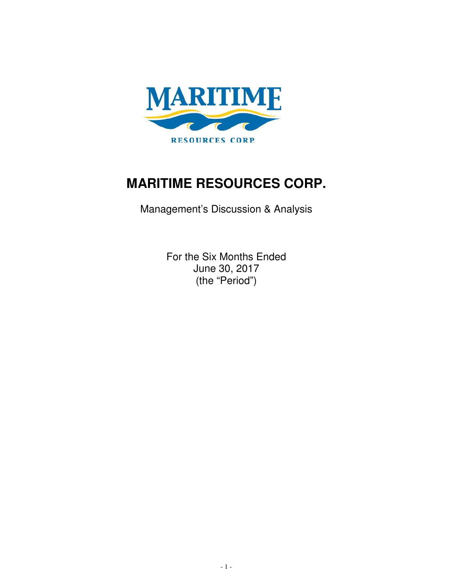

# **MARITIME RESOURCES CORP.**

Management's Discussion & Analysis

For the Six Months Ended June 30, 2017 (the "Period")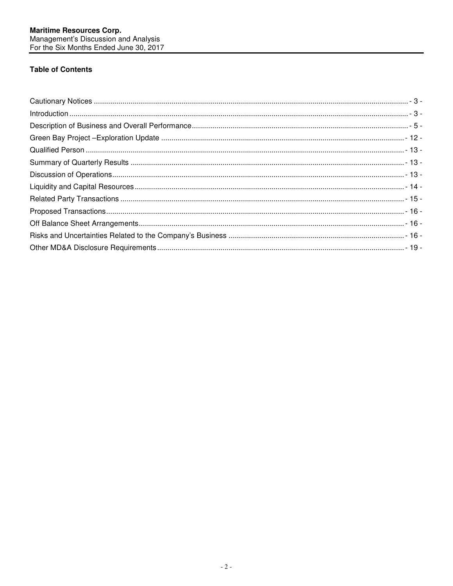# **Table of Contents**

| $\hbox{\parbox{0.75\textwidth}{\begin{picture}(10,0){\label{fig:2} \put(0,0){\label{fig:3} \put(0,0){\label{fig:3} \put(0,0){\label{fig:3} \put(0,0){\label{fig:3} \put(0,0){\label{fig:3} \put(0,0){\label{fig:3} \put(0,0){\label{fig:3} \put(0,0){\label{fig:3} \put(0,0){\label{fig:3} \put(0,0){\label{fig:3} \put(0,0){\label{fig:3} \put(0,0){\label{fig:3} \put(0,0){\label{fig:3} \put(0,0$ |  |
|------------------------------------------------------------------------------------------------------------------------------------------------------------------------------------------------------------------------------------------------------------------------------------------------------------------------------------------------------------------------------------------------------|--|
|                                                                                                                                                                                                                                                                                                                                                                                                      |  |
|                                                                                                                                                                                                                                                                                                                                                                                                      |  |
|                                                                                                                                                                                                                                                                                                                                                                                                      |  |
|                                                                                                                                                                                                                                                                                                                                                                                                      |  |
|                                                                                                                                                                                                                                                                                                                                                                                                      |  |
|                                                                                                                                                                                                                                                                                                                                                                                                      |  |
|                                                                                                                                                                                                                                                                                                                                                                                                      |  |
|                                                                                                                                                                                                                                                                                                                                                                                                      |  |
|                                                                                                                                                                                                                                                                                                                                                                                                      |  |
|                                                                                                                                                                                                                                                                                                                                                                                                      |  |
|                                                                                                                                                                                                                                                                                                                                                                                                      |  |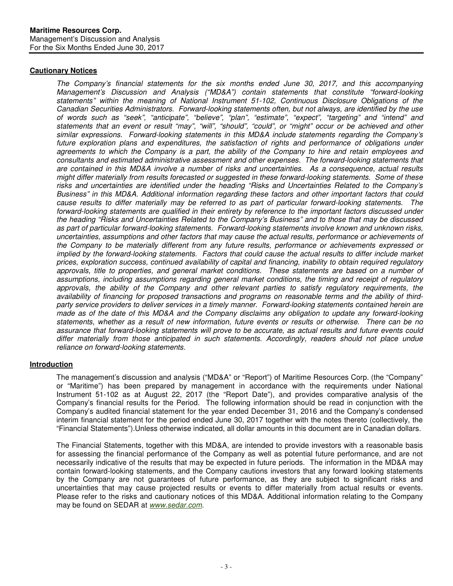# **Cautionary Notices**

The Company's financial statements for the six months ended June 30, 2017, and this accompanying Management's Discussion and Analysis ("MD&A") contain statements that constitute "forward-looking statements" within the meaning of National Instrument 51-102, Continuous Disclosure Obligations of the Canadian Securities Administrators. Forward-looking statements often, but not always, are identified by the use of words such as "seek", "anticipate", "believe", "plan", "estimate", "expect", "targeting" and "intend" and statements that an event or result "may", "will", "should", "could", or "might" occur or be achieved and other similar expressions. Forward-looking statements in this MD&A include statements regarding the Company's future exploration plans and expenditures, the satisfaction of rights and performance of obligations under agreements to which the Company is a part, the ability of the Company to hire and retain employees and consultants and estimated administrative assessment and other expenses. The forward-looking statements that are contained in this MD&A involve a number of risks and uncertainties. As a consequence, actual results might differ materially from results forecasted or suggested in these forward-looking statements. Some of these risks and uncertainties are identified under the heading "Risks and Uncertainties Related to the Company's Business" in this MD&A. Additional information regarding these factors and other important factors that could cause results to differ materially may be referred to as part of particular forward-looking statements. The forward-looking statements are qualified in their entirety by reference to the important factors discussed under the heading "Risks and Uncertainties Related to the Company's Business" and to those that may be discussed as part of particular forward-looking statements. Forward-looking statements involve known and unknown risks, uncertainties, assumptions and other factors that may cause the actual results, performance or achievements of the Company to be materially different from any future results, performance or achievements expressed or implied by the forward-looking statements. Factors that could cause the actual results to differ include market prices, exploration success, continued availability of capital and financing, inability to obtain required regulatory approvals, title to properties, and general market conditions. These statements are based on a number of assumptions, including assumptions regarding general market conditions, the timing and receipt of regulatory approvals, the ability of the Company and other relevant parties to satisfy regulatory requirements, the availability of financing for proposed transactions and programs on reasonable terms and the ability of thirdparty service providers to deliver services in a timely manner. Forward-looking statements contained herein are made as of the date of this MD&A and the Company disclaims any obligation to update any forward-looking statements, whether as a result of new information, future events or results or otherwise. There can be no assurance that forward-looking statements will prove to be accurate, as actual results and future events could differ materially from those anticipated in such statements. Accordingly, readers should not place undue reliance on forward-looking statements.

# **Introduction**

The management's discussion and analysis ("MD&A" or "Report") of Maritime Resources Corp. (the "Company" or "Maritime") has been prepared by management in accordance with the requirements under National Instrument 51-102 as at August 22, 2017 (the "Report Date"), and provides comparative analysis of the Company's financial results for the Period. The following information should be read in conjunction with the Company's audited financial statement for the year ended December 31, 2016 and the Company's condensed interim financial statement for the period ended June 30, 2017 together with the notes thereto (collectively, the "Financial Statements").Unless otherwise indicated, all dollar amounts in this document are in Canadian dollars.

The Financial Statements, together with this MD&A, are intended to provide investors with a reasonable basis for assessing the financial performance of the Company as well as potential future performance, and are not necessarily indicative of the results that may be expected in future periods. The information in the MD&A may contain forward-looking statements, and the Company cautions investors that any forward looking statements by the Company are not guarantees of future performance, as they are subject to significant risks and uncertainties that may cause projected results or events to differ materially from actual results or events. Please refer to the risks and cautionary notices of this MD&A. Additional information relating to the Company may be found on SEDAR at www.sedar.com.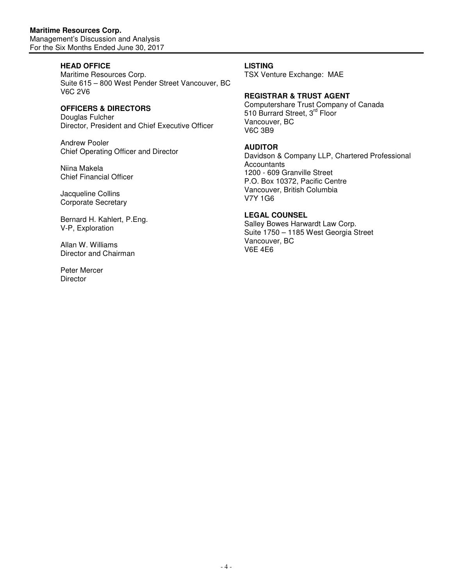# **HEAD OFFICE**

Maritime Resources Corp. Suite 615 – 800 West Pender Street Vancouver, BC V6C 2V6

# **OFFICERS & DIRECTORS**

Douglas Fulcher Director, President and Chief Executive Officer

Andrew Pooler Chief Operating Officer and Director

Niina Makela Chief Financial Officer

Jacqueline Collins Corporate Secretary

Bernard H. Kahlert, P.Eng. V-P, Exploration

Allan W. Williams Director and Chairman

Peter Mercer **Director** 

## **LISTING**

TSX Venture Exchange: MAE

## **REGISTRAR & TRUST AGENT**

Computershare Trust Company of Canada 510 Burrard Street, 3<sup>rd</sup> Floor Vancouver, BC V6C 3B9

## **AUDITOR**

Davidson & Company LLP, Chartered Professional **Accountants** 1200 - 609 Granville Street P.O. Box 10372, Pacific Centre Vancouver, British Columbia V7Y 1G6

## **LEGAL COUNSEL**

Salley Bowes Harwardt Law Corp. Suite 1750 – 1185 West Georgia Street Vancouver, BC V6E 4E6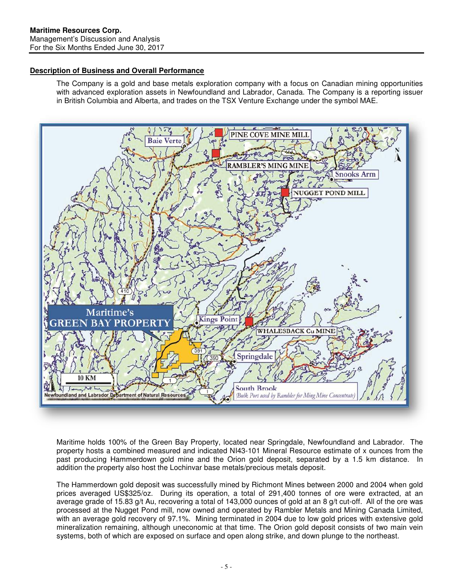# **Description of Business and Overall Performance**

The Company is a gold and base metals exploration company with a focus on Canadian mining opportunities with advanced exploration assets in Newfoundland and Labrador, Canada. The Company is a reporting issuer in British Columbia and Alberta, and trades on the TSX Venture Exchange under the symbol MAE.



Maritime holds 100% of the Green Bay Property, located near Springdale, Newfoundland and Labrador. The property hosts a combined measured and indicated NI43-101 Mineral Resource estimate of x ounces from the past producing Hammerdown gold mine and the Orion gold deposit, separated by a 1.5 km distance. In addition the property also host the Lochinvar base metals/precious metals deposit.

The Hammerdown gold deposit was successfully mined by Richmont Mines between 2000 and 2004 when gold prices averaged US\$325/oz. During its operation, a total of 291,400 tonnes of ore were extracted, at an average grade of 15.83 g/t Au, recovering a total of 143,000 ounces of gold at an 8 g/t cut-off. All of the ore was processed at the Nugget Pond mill, now owned and operated by Rambler Metals and Mining Canada Limited, with an average gold recovery of 97.1%. Mining terminated in 2004 due to low gold prices with extensive gold mineralization remaining, although uneconomic at that time. The Orion gold deposit consists of two main vein systems, both of which are exposed on surface and open along strike, and down plunge to the northeast.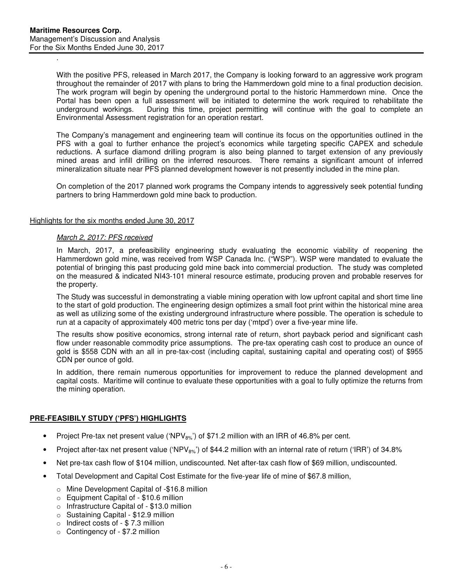.

With the positive PFS, released in March 2017, the Company is looking forward to an aggressive work program throughout the remainder of 2017 with plans to bring the Hammerdown gold mine to a final production decision. The work program will begin by opening the underground portal to the historic Hammerdown mine. Once the Portal has been open a full assessment will be initiated to determine the work required to rehabilitate the underground workings. During this time, project permitting will continue with the goal to complete an During this time, project permitting will continue with the goal to complete an Environmental Assessment registration for an operation restart.

The Company's management and engineering team will continue its focus on the opportunities outlined in the PFS with a goal to further enhance the project's economics while targeting specific CAPEX and schedule reductions. A surface diamond drilling program is also being planned to target extension of any previously mined areas and infill drilling on the inferred resources. There remains a significant amount of inferred mineralization situate near PFS planned development however is not presently included in the mine plan.

On completion of the 2017 planned work programs the Company intends to aggressively seek potential funding partners to bring Hammerdown gold mine back to production.

### Highlights for the six months ended June 30, 2017

#### March 2, 2017: PFS received

In March, 2017, a prefeasibility engineering study evaluating the economic viability of reopening the Hammerdown gold mine, was received from WSP Canada Inc. ("WSP"). WSP were mandated to evaluate the potential of bringing this past producing gold mine back into commercial production. The study was completed on the measured & indicated NI43-101 mineral resource estimate, producing proven and probable reserves for the property.

The Study was successful in demonstrating a viable mining operation with low upfront capital and short time line to the start of gold production. The engineering design optimizes a small foot print within the historical mine area as well as utilizing some of the existing underground infrastructure where possible. The operation is schedule to run at a capacity of approximately 400 metric tons per day ('mtpd') over a five-year mine life.

The results show positive economics, strong internal rate of return, short payback period and significant cash flow under reasonable commodity price assumptions. The pre-tax operating cash cost to produce an ounce of gold is \$558 CDN with an all in pre-tax-cost (including capital, sustaining capital and operating cost) of \$955 CDN per ounce of gold.

In addition, there remain numerous opportunities for improvement to reduce the planned development and capital costs. Maritime will continue to evaluate these opportunities with a goal to fully optimize the returns from the mining operation.

# **PRE-FEASIBILY STUDY ('PFS') HIGHLIGHTS**

- Project Pre-tax net present value ('NPV $_{8\%}$ ') of \$71.2 million with an IRR of 46.8% per cent.
- Project after-tax net present value ('NPV $_{8\%}$ ') of \$44.2 million with an internal rate of return ('IRR') of 34.8%
- Net pre-tax cash flow of \$104 million, undiscounted. Net after-tax cash flow of \$69 million, undiscounted.
- Total Development and Capital Cost Estimate for the five-year life of mine of \$67.8 million,
	- o Mine Development Capital of -\$16.8 million
	- o Equipment Capital of \$10.6 million
	- o Infrastructure Capital of \$13.0 million
	- o Sustaining Capital \$12.9 million
	- o Indirect costs of \$ 7.3 million
	- o Contingency of \$7.2 million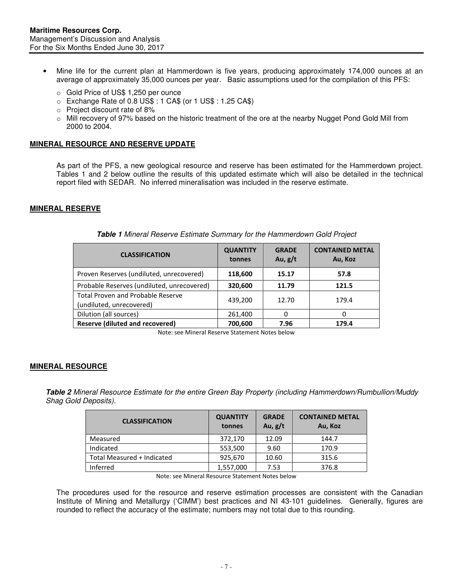- Mine life for the current plan at Hammerdown is five years, producing approximately 174,000 ounces at an average of approximately 35,000 ounces per year. Basic assumptions used for the compilation of this PFS:
	- o Gold Price of US\$ 1,250 per ounce
	- o Exchange Rate of 0.8 US\$ : 1 CA\$ (or 1 US\$ : 1.25 CA\$)
	- o Project discount rate of 8%
	- o Mill recovery of 97% based on the historic treatment of the ore at the nearby Nugget Pond Gold Mill from 2000 to 2004.

## **MINERAL RESOURCE AND RESERVE UPDATE**

As part of the PFS, a new geological resource and reserve has been estimated for the Hammerdown project. Tables 1 and 2 below outline the results of this updated estimate which will also be detailed in the technical report filed with SEDAR. No inferred mineralisation was included in the reserve estimate.

#### **MINERAL RESERVE**

| <b>CLASSIFICATION</b>                                                | <b>QUANTITY</b><br>tonnes | <b>GRADE</b><br>Au, $g/t$ | <b>CONTAINED METAL</b><br>Au, Koz |
|----------------------------------------------------------------------|---------------------------|---------------------------|-----------------------------------|
| Proven Reserves (undiluted, unrecovered)                             | 118,600                   | 15.17                     | 57.8                              |
| Probable Reserves (undiluted, unrecovered)                           | 320,600                   | 11.79                     | 121.5                             |
| <b>Total Proven and Probable Reserve</b><br>(undiluted, unrecovered) | 439,200                   | 12.70                     | 179.4                             |
| Dilution (all sources)                                               | 261,400                   |                           |                                   |
| <b>Reserve (diluted and recovered)</b>                               | 700,600                   | 7.96                      | 179.4                             |

| Table 1 Mineral Reserve Estimate Summary for the Hammerdown Gold Project |  |
|--------------------------------------------------------------------------|--|
|--------------------------------------------------------------------------|--|

Note: see Mineral Reserve Statement Notes below

#### **MINERAL RESOURCE**

**Table 2** Mineral Resource Estimate for the entire Green Bay Property (including Hammerdown/Rumbullion/Muddy Shag Gold Deposits).

| <b>CLASSIFICATION</b>      | <b>QUANTITY</b><br>tonnes | <b>GRADE</b><br>Au, $g/t$ | <b>CONTAINED METAL</b><br>Au, Koz |
|----------------------------|---------------------------|---------------------------|-----------------------------------|
| Measured                   | 372,170                   | 12.09                     | 144.7                             |
| Indicated                  | 553,500                   | 9.60                      | 170.9                             |
| Total Measured + Indicated | 925,670                   | 10.60                     | 315.6                             |
| Inferred                   | 1,557,000                 | 7.53                      | 376.8                             |

Note: see Mineral Resource Statement Notes below

The procedures used for the resource and reserve estimation processes are consistent with the Canadian Institute of Mining and Metallurgy ('CIMM') best practices and NI 43-101 guidelines. Generally, figures are rounded to reflect the accuracy of the estimate; numbers may not total due to this rounding.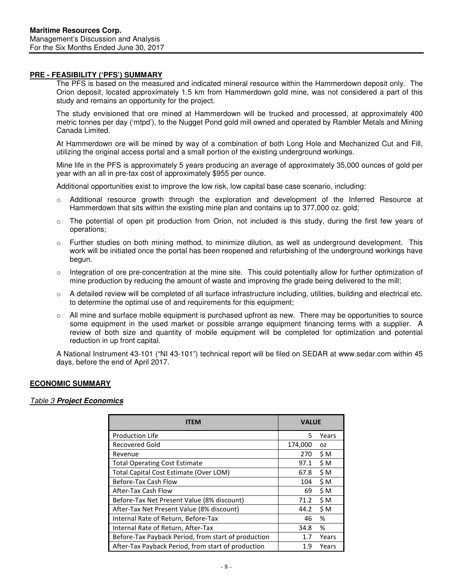## **PRE - FEASIBILITY ('PFS') SUMMARY**

The PFS is based on the measured and indicated mineral resource within the Hammerdown deposit only. The Orion deposit, located approximately 1.5 km from Hammerdown gold mine, was not considered a part of this study and remains an opportunity for the project.

The study envisioned that ore mined at Hammerdown will be trucked and processed, at approximately 400 metric tonnes per day ('mtpd'), to the Nugget Pond gold mill owned and operated by Rambler Metals and Mining Canada Limited.

At Hammerdown ore will be mined by way of a combination of both Long Hole and Mechanized Cut and Fill, utilizing the original access portal and a small portion of the existing underground workings.

Mine life in the PFS is approximately 5 years producing an average of approximately 35,000 ounces of gold per year with an all in pre-tax cost of approximately \$955 per ounce.

Additional opportunities exist to improve the low risk, low capital base case scenario, including:

- o Additional resource growth through the exploration and development of the Inferred Resource at Hammerdown that sits within the existing mine plan and contains up to 377,000 oz. gold;
- $\circ$  The potential of open pit production from Orion, not included is this study, during the first few years of operations;
- o Further studies on both mining method, to minimize dilution, as well as underground development. This work will be initiated once the portal has been reopened and refurbishing of the underground workings have begun.
- $\circ$  Integration of ore pre-concentration at the mine site. This could potentially allow for further optimization of mine production by reducing the amount of waste and improving the grade being delivered to the mill;
- $\circ$  A detailed review will be completed of all surface infrastructure including, utilities, building and electrical etc. to determine the optimal use of and requirements for this equipment;
- $\circ$  All mine and surface mobile equipment is purchased upfront as new. There may be opportunities to source some equipment in the used market or possible arrange equipment financing terms with a supplier. A review of both size and quantity of mobile equipment will be completed for optimization and potential reduction in up front capital.

A National Instrument 43-101 ("NI 43-101") technical report will be filed on SEDAR at www.sedar.com within 45 days, before the end of April 2017.

## **ECONOMIC SUMMARY**

## Table 3 **Project Economics**

| ITEM                                                | <b>VALUE</b> |       |  |
|-----------------------------------------------------|--------------|-------|--|
| <b>Production Life</b>                              | 5            | Years |  |
| Recovered Gold                                      | 174,000      | 0Z    |  |
| Revenue                                             | 270          | \$M   |  |
| <b>Total Operating Cost Estimate</b>                | 97.1         | \$M   |  |
| Total Capital Cost Estimate (Over LOM)              | 67.8         | \$M   |  |
| Before-Tax Cash Flow                                | 104          | \$M   |  |
| After-Tax Cash Flow                                 | 69           | \$M   |  |
| Before-Tax Net Present Value (8% discount)          | 71.2         | \$M   |  |
| After-Tax Net Present Value (8% discount)           | 44.2         | \$M   |  |
| Internal Rate of Return, Before-Tax                 | 46           | %     |  |
| Internal Rate of Return, After-Tax                  | 34.8         | %     |  |
| Before-Tax Payback Period, from start of production | 1.7          | Years |  |
| After-Tax Payback Period, from start of production  | 1.9          | Years |  |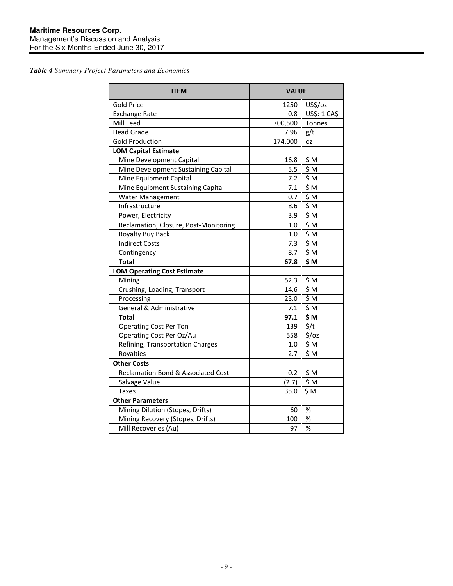*Table 4 Summary Project Parameters and Economics* 

| <b>ITEM</b>                           | <b>VALUE</b> |                   |  |  |
|---------------------------------------|--------------|-------------------|--|--|
| <b>Gold Price</b>                     | 1250         | US\$/oz           |  |  |
| <b>Exchange Rate</b>                  | 0.8          | US\$: 1 CA\$      |  |  |
| Mill Feed                             | 700,500      | Tonnes            |  |  |
| <b>Head Grade</b>                     | 7.96         | g/t               |  |  |
| <b>Gold Production</b>                | 174,000      | <b>OZ</b>         |  |  |
| <b>LOM Capital Estimate</b>           |              |                   |  |  |
| Mine Development Capital              | 16.8         | \$M               |  |  |
| Mine Development Sustaining Capital   | 5.5          | \$M               |  |  |
| Mine Equipment Capital                | 7.2          | \$M               |  |  |
| Mine Equipment Sustaining Capital     | 7.1          | \$M               |  |  |
| <b>Water Management</b>               | 0.7          | \$M               |  |  |
| Infrastructure                        | 8.6          | \$M               |  |  |
| Power, Electricity                    | 3.9          | \$M               |  |  |
| Reclamation, Closure, Post-Monitoring | 1.0          | \$M               |  |  |
| Royalty Buy Back                      | 1.0          | \$M               |  |  |
| <b>Indirect Costs</b>                 | 7.3          | \$M               |  |  |
| Contingency                           | 8.7          | \$M               |  |  |
| <b>Total</b>                          | 67.8         | \$M               |  |  |
| <b>LOM Operating Cost Estimate</b>    |              |                   |  |  |
| Mining                                | 52.3         | \$M               |  |  |
| Crushing, Loading, Transport          | 14.6         | \$M               |  |  |
| Processing                            | 23.0         | \$M               |  |  |
| General & Administrative              | 7.1          | \$M               |  |  |
| <b>Total</b>                          | 97.1         | \$M               |  |  |
| <b>Operating Cost Per Ton</b>         | 139          | $\frac{2}{3}$ /t  |  |  |
| Operating Cost Per Oz/Au              | 558          | $\frac{2}{3}$ /oz |  |  |
| Refining, Transportation Charges      | $1.0\,$      | \$M               |  |  |
| Royalties                             | 2.7          | \$M               |  |  |
| <b>Other Costs</b>                    |              |                   |  |  |
| Reclamation Bond & Associated Cost    | 0.2          | \$M               |  |  |
| Salvage Value                         | (2.7)        | \$M               |  |  |
| Taxes                                 | 35.0         | \$M               |  |  |
| <b>Other Parameters</b>               |              |                   |  |  |
| Mining Dilution (Stopes, Drifts)      | 60           | $\%$              |  |  |
| Mining Recovery (Stopes, Drifts)      | 100          | $\%$              |  |  |
| Mill Recoveries (Au)                  | 97           | %                 |  |  |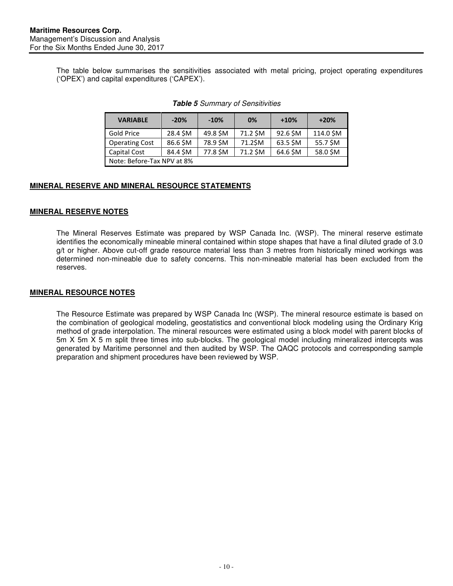The table below summarises the sensitivities associated with metal pricing, project operating expenditures ('OPEX') and capital expenditures ('CAPEX').

| <b>VARIABLE</b>            | $-20%$   | $-10%$   | 0%       | $+10%$   | $+20%$    |
|----------------------------|----------|----------|----------|----------|-----------|
| Gold Price                 | 28.4 \$M | 49.8 \$M | 71.2 \$M | 92.6 \$M | 114.0 \$M |
| <b>Operating Cost</b>      | 86.6 \$M | 78.9 \$M | 71.2\$M  | 63.5 SM  | 55.7 \$M  |
| <b>Capital Cost</b>        | 84.4 \$M | 77.8 \$M | 71.2 \$M | 64.6 \$M | 58.0 \$M  |
| Note: Before-Tax NPV at 8% |          |          |          |          |           |

### **Table 5** Summary of Sensitivities

# **MINERAL RESERVE AND MINERAL RESOURCE STATEMENTS**

# **MINERAL RESERVE NOTES**

The Mineral Reserves Estimate was prepared by WSP Canada Inc. (WSP). The mineral reserve estimate identifies the economically mineable mineral contained within stope shapes that have a final diluted grade of 3.0 g/t or higher. Above cut-off grade resource material less than 3 metres from historically mined workings was determined non-mineable due to safety concerns. This non-mineable material has been excluded from the reserves.

## **MINERAL RESOURCE NOTES**

The Resource Estimate was prepared by WSP Canada Inc (WSP). The mineral resource estimate is based on the combination of geological modeling, geostatistics and conventional block modeling using the Ordinary Krig method of grade interpolation. The mineral resources were estimated using a block model with parent blocks of 5m X 5m X 5 m split three times into sub-blocks. The geological model including mineralized intercepts was generated by Maritime personnel and then audited by WSP. The QAQC protocols and corresponding sample preparation and shipment procedures have been reviewed by WSP.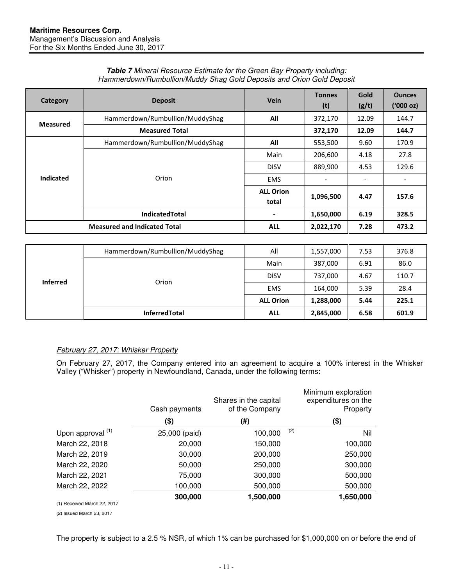| Category         | <b>Deposit</b>                      | Vein                      | <b>Tonnes</b><br>(t)     | Gold<br>(g/t)                | <b>Ounces</b><br>$(000 \text{ oz})$ |
|------------------|-------------------------------------|---------------------------|--------------------------|------------------------------|-------------------------------------|
|                  | Hammerdown/Rumbullion/MuddyShag     | All                       | 372,170                  | 12.09                        | 144.7                               |
| <b>Measured</b>  | <b>Measured Total</b>               |                           | 372,170                  | 12.09                        | 144.7                               |
|                  | Hammerdown/Rumbullion/MuddyShag     | All                       | 553,500                  | 9.60                         | 170.9                               |
|                  |                                     | Main                      | 206,600                  | 4.18                         | 27.8                                |
|                  |                                     | <b>DISV</b>               | 889,900                  | 4.53                         | 129.6                               |
| <b>Indicated</b> | Orion                               | <b>EMS</b>                | $\overline{\phantom{a}}$ | $\qquad \qquad \blacksquare$ |                                     |
|                  |                                     | <b>ALL Orion</b><br>total | 1,096,500                | 4.47                         | 157.6                               |
|                  | <b>IndicatedTotal</b>               | $\blacksquare$            | 1,650,000                | 6.19                         | 328.5                               |
|                  | <b>Measured and Indicated Total</b> | <b>ALL</b>                | 2,022,170                | 7.28                         | 473.2                               |

#### **Table 7** Mineral Resource Estimate for the Green Bay Property including: Hammerdown/Rumbullion/Muddy Shag Gold Deposits and Orion Gold Deposit

|                 | Hammerdown/Rumbullion/MuddyShag | All              | 1,557,000 | 7.53 | 376.8 |
|-----------------|---------------------------------|------------------|-----------|------|-------|
|                 |                                 | Main             | 387,000   | 6.91 | 86.0  |
|                 | Orion                           | <b>DISV</b>      | 737,000   | 4.67 | 110.7 |
| <b>Inferred</b> |                                 | <b>EMS</b>       | 164,000   | 5.39 | 28.4  |
|                 |                                 | <b>ALL Orion</b> | 1,288,000 | 5.44 | 225.1 |
|                 | <b>InferredTotal</b>            | <b>ALL</b>       | 2,845,000 | 6.58 | 601.9 |

# February 27, 2017: Whisker Property

On February 27, 2017, the Company entered into an agreement to acquire a 100% interest in the Whisker Valley ("Whisker") property in Newfoundland, Canada, under the following terms:

|                             | Cash payments | Shares in the capital<br>of the Company | Minimum exploration<br>expenditures on the<br>Property |
|-----------------------------|---------------|-----------------------------------------|--------------------------------------------------------|
|                             | (\$)          | (#)                                     | (\$)                                                   |
| Upon approval (1)           | 25,000 (paid) | 100,000                                 | (2)<br>Nil                                             |
| March 22, 2018              | 20,000        | 150,000                                 | 100,000                                                |
| March 22, 2019              | 30,000        | 200,000                                 | 250,000                                                |
| March 22, 2020              | 50,000        | 250,000                                 | 300,000                                                |
| March 22, 2021              | 75,000        | 300,000                                 | 500,000                                                |
| March 22, 2022              | 100,000       | 500,000                                 | 500,000                                                |
|                             | 300,000       | 1,500,000                               | 1,650,000                                              |
| (1) Received March 22, 2017 |               |                                         |                                                        |
|                             |               |                                         |                                                        |

(2) Issued March 23, 2017

The property is subject to a 2.5 % NSR, of which 1% can be purchased for \$1,000,000 on or before the end of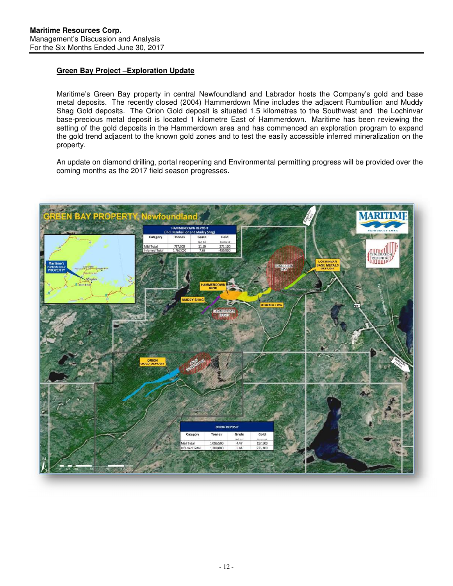# **Green Bay Project –Exploration Update**

Maritime's Green Bay property in central Newfoundland and Labrador hosts the Company's gold and base metal deposits. The recently closed (2004) Hammerdown Mine includes the adjacent Rumbullion and Muddy Shag Gold deposits. The Orion Gold deposit is situated 1.5 kilometres to the Southwest and the Lochinvar base-precious metal deposit is located 1 kilometre East of Hammerdown. Maritime has been reviewing the setting of the gold deposits in the Hammerdown area and has commenced an exploration program to expand the gold trend adjacent to the known gold zones and to test the easily accessible inferred mineralization on the property.

An update on diamond drilling, portal reopening and Environmental permitting progress will be provided over the coming months as the 2017 field season progresses.

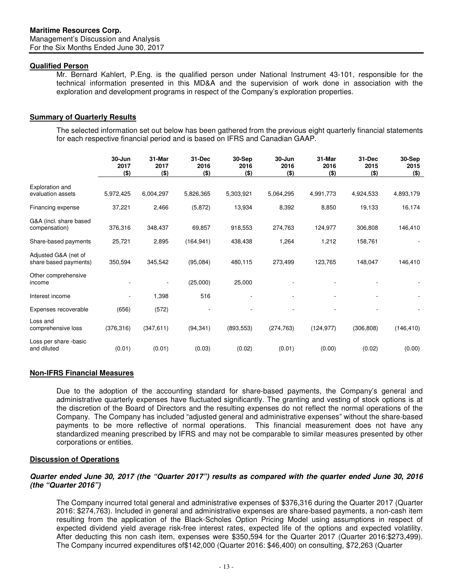## **Qualified Person**

Mr. Bernard Kahlert, P.Eng. is the qualified person under National Instrument 43-101, responsible for the technical information presented in this MD&A and the supervision of work done in association with the exploration and development programs in respect of the Company's exploration properties.

## **Summary of Quarterly Results**

The selected information set out below has been gathered from the previous eight quarterly financial statements for each respective financial period and is based on IFRS and Canadian GAAP.

|                        | 30-Jun<br>2017<br>$($ \$) | 31-Mar<br>2017<br>$($ \$) | 31-Dec<br>2016<br>$($ \$) | 30-Sep<br>2016<br>$($ \$) | $30 - Jun$<br>2016<br>$($ \$) | 31-Mar<br>2016<br>$($ \$) | 31-Dec<br>2015<br>$($ \$) | 30-Sep<br>2015<br>$($ \$) |
|------------------------|---------------------------|---------------------------|---------------------------|---------------------------|-------------------------------|---------------------------|---------------------------|---------------------------|
| Exploration and        |                           |                           |                           |                           |                               |                           |                           |                           |
| evaluation assets      | 5,972,425                 | 6,004,297                 | 5,826,365                 | 5,303,921                 | 5,064,295                     | 4,991,773                 | 4,924,533                 | 4,893,179                 |
| Financing expense      | 37,221                    | 2,466                     | (5,872)                   | 13,934                    | 8,392                         | 8,850                     | 19,133                    | 16,174                    |
| G&A (incl. share based |                           |                           |                           |                           |                               |                           |                           |                           |
| compensation)          | 376,316                   | 348,437                   | 69,857                    | 918,553                   | 274,763                       | 124,977                   | 306,808                   | 146,410                   |
| Share-based payments   | 25,721                    | 2,895                     | (164, 941)                | 438,438                   | 1,264                         | 1,212                     | 158,761                   |                           |
| Adjusted G&A (net of   |                           |                           |                           |                           |                               |                           |                           |                           |
| share based payments)  | 350,594                   | 345,542                   | (95,084)                  | 480,115                   | 273,499                       | 123,765                   | 148,047                   | 146,410                   |
| Other comprehensive    |                           |                           |                           |                           |                               |                           |                           |                           |
| income                 |                           |                           | (25,000)                  | 25,000                    |                               |                           |                           |                           |
| Interest income        |                           | 1,398                     | 516                       |                           |                               |                           |                           |                           |
| Expenses recoverable   | (656)                     | (572)                     |                           |                           |                               |                           |                           |                           |
| Loss and               |                           |                           |                           |                           |                               |                           |                           |                           |
| comprehensive loss     | (376, 316)                | (347, 611)                | (94, 341)                 | (893, 553)                | (274, 763)                    | (124, 977)                | (306, 808)                | (146, 410)                |
| Loss per share -basic  |                           |                           |                           |                           |                               |                           |                           |                           |
| and diluted            | (0.01)                    | (0.01)                    | (0.03)                    | (0.02)                    | (0.01)                        | (0.00)                    | (0.02)                    | (0.00)                    |

## **Non-IFRS Financial Measures**

Due to the adoption of the accounting standard for share-based payments, the Company's general and administrative quarterly expenses have fluctuated significantly. The granting and vesting of stock options is at the discretion of the Board of Directors and the resulting expenses do not reflect the normal operations of the Company. The Company has included "adjusted general and administrative expenses" without the share-based payments to be more reflective of normal operations. This financial measurement does not have any standardized meaning prescribed by IFRS and may not be comparable to similar measures presented by other corporations or entities.

#### **Discussion of Operations**

## **Quarter ended June 30, 2017 (the "Quarter 2017") results as compared with the quarter ended June 30, 2016 (the "Quarter 2016")**

The Company incurred total general and administrative expenses of \$376,316 during the Quarter 2017 (Quarter 2016: \$274,763). Included in general and administrative expenses are share-based payments, a non-cash item resulting from the application of the Black-Scholes Option Pricing Model using assumptions in respect of expected dividend yield average risk-free interest rates, expected life of the options and expected volatility. After deducting this non cash item, expenses were \$350,594 for the Quarter 2017 (Quarter 2016:\$273,499). The Company incurred expenditures of\$142,000 (Quarter 2016: \$46,400) on consulting, \$72,263 (Quarter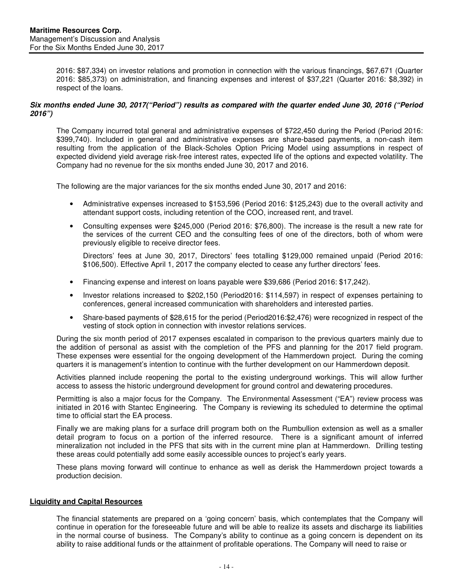2016: \$87,334) on investor relations and promotion in connection with the various financings, \$67,671 (Quarter 2016: \$85,373) on administration, and financing expenses and interest of \$37,221 (Quarter 2016: \$8,392) in respect of the loans.

## **Six months ended June 30, 2017("Period") results as compared with the quarter ended June 30, 2016 ("Period 2016")**

The Company incurred total general and administrative expenses of \$722,450 during the Period (Period 2016: \$399,740). Included in general and administrative expenses are share-based payments, a non-cash item resulting from the application of the Black-Scholes Option Pricing Model using assumptions in respect of expected dividend yield average risk-free interest rates, expected life of the options and expected volatility. The Company had no revenue for the six months ended June 30, 2017 and 2016.

The following are the major variances for the six months ended June 30, 2017 and 2016:

- Administrative expenses increased to \$153,596 (Period 2016: \$125,243) due to the overall activity and attendant support costs, including retention of the COO, increased rent, and travel.
- Consulting expenses were \$245,000 (Period 2016: \$76,800). The increase is the result a new rate for the services of the current CEO and the consulting fees of one of the directors, both of whom were previously eligible to receive director fees.

Directors' fees at June 30, 2017, Directors' fees totalling \$129,000 remained unpaid (Period 2016: \$106,500). Effective April 1, 2017 the company elected to cease any further directors' fees.

- Financing expense and interest on loans payable were \$39,686 (Period 2016: \$17,242).
- Investor relations increased to \$202,150 (Period2016: \$114,597) in respect of expenses pertaining to conferences, general increased communication with shareholders and interested parties.
- Share-based payments of \$28,615 for the period (Period2016:\$2,476) were recognized in respect of the vesting of stock option in connection with investor relations services.

During the six month period of 2017 expenses escalated in comparison to the previous quarters mainly due to the addition of personal as assist with the completion of the PFS and planning for the 2017 field program. These expenses were essential for the ongoing development of the Hammerdown project. During the coming quarters it is management's intention to continue with the further development on our Hammerdown deposit.

Activities planned include reopening the portal to the existing underground workings. This will allow further access to assess the historic underground development for ground control and dewatering procedures.

Permitting is also a major focus for the Company. The Environmental Assessment ("EA") review process was initiated in 2016 with Stantec Engineering. The Company is reviewing its scheduled to determine the optimal time to official start the EA process.

Finally we are making plans for a surface drill program both on the Rumbullion extension as well as a smaller detail program to focus on a portion of the inferred resource. There is a significant amount of inferred mineralization not included in the PFS that sits with in the current mine plan at Hammerdown. Drilling testing these areas could potentially add some easily accessible ounces to project's early years.

These plans moving forward will continue to enhance as well as derisk the Hammerdown project towards a production decision.

## **Liquidity and Capital Resources**

The financial statements are prepared on a 'going concern' basis, which contemplates that the Company will continue in operation for the foreseeable future and will be able to realize its assets and discharge its liabilities in the normal course of business. The Company's ability to continue as a going concern is dependent on its ability to raise additional funds or the attainment of profitable operations. The Company will need to raise or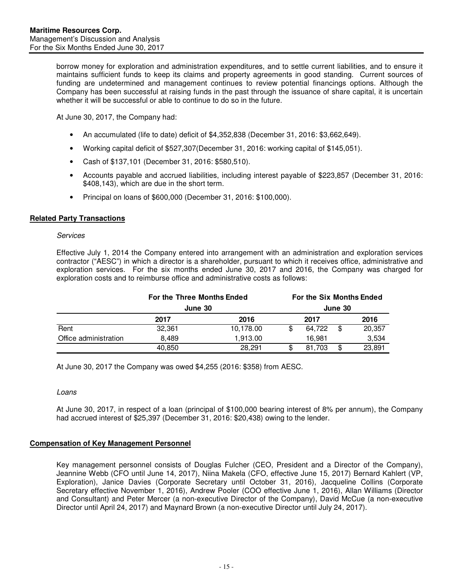borrow money for exploration and administration expenditures, and to settle current liabilities, and to ensure it maintains sufficient funds to keep its claims and property agreements in good standing. Current sources of funding are undetermined and management continues to review potential financings options. Although the Company has been successful at raising funds in the past through the issuance of share capital, it is uncertain whether it will be successful or able to continue to do so in the future.

At June 30, 2017, the Company had:

- An accumulated (life to date) deficit of \$4,352,838 (December 31, 2016: \$3,662,649).
- Working capital deficit of \$527,307(December 31, 2016: working capital of \$145,051).
- Cash of \$137,101 (December 31, 2016: \$580,510).
- Accounts payable and accrued liabilities, including interest payable of \$223,857 (December 31, 2016: \$408,143), which are due in the short term.
- Principal on loans of \$600,000 (December 31, 2016: \$100,000).

## **Related Party Transactions**

#### Services

Effective July 1, 2014 the Company entered into arrangement with an administration and exploration services contractor ("AESC") in which a director is a shareholder, pursuant to which it receives office, administrative and exploration services. For the six months ended June 30, 2017 and 2016, the Company was charged for exploration costs and to reimburse office and administrative costs as follows:

|                       | For the Three Months Ended<br>June 30 |           |    | For the Six Months Ended |         |        |
|-----------------------|---------------------------------------|-----------|----|--------------------------|---------|--------|
|                       |                                       |           |    |                          | June 30 |        |
|                       | 2017                                  | 2016      |    | 2017                     |         | 2016   |
| Rent                  | 32,361                                | 10,178.00 | S  | 64.722                   | \$      | 20,357 |
| Office administration | 8.489                                 | 1.913.00  |    | 16.981                   |         | 3,534  |
|                       | 40,850                                | 28.291    | \$ | 81.703                   | \$      | 23.891 |

At June 30, 2017 the Company was owed \$4,255 (2016: \$358) from AESC.

## Loans

At June 30, 2017, in respect of a loan (principal of \$100,000 bearing interest of 8% per annum), the Company had accrued interest of \$25,397 (December 31, 2016: \$20,438) owing to the lender.

# **Compensation of Key Management Personnel**

Key management personnel consists of Douglas Fulcher (CEO, President and a Director of the Company), Jeannine Webb (CFO until June 14, 2017), Niina Makela (CFO, effective June 15, 2017) Bernard Kahlert (VP, Exploration), Janice Davies (Corporate Secretary until October 31, 2016), Jacqueline Collins (Corporate Secretary effective November 1, 2016), Andrew Pooler (COO effective June 1, 2016), Allan Williams (Director and Consultant) and Peter Mercer (a non-executive Director of the Company), David McCue (a non-executive Director until April 24, 2017) and Maynard Brown (a non-executive Director until July 24, 2017).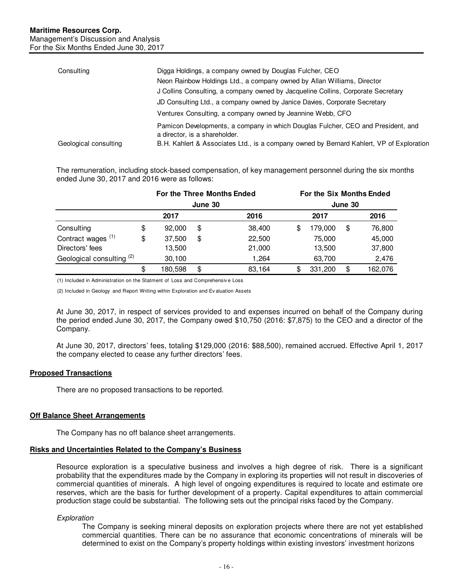| Consulting            | Digga Holdings, a company owned by Douglas Fulcher, CEO                                                           |
|-----------------------|-------------------------------------------------------------------------------------------------------------------|
|                       | Neon Rainbow Holdings Ltd., a company owned by Allan Williams, Director                                           |
|                       | J Collins Consulting, a company owned by Jacqueline Collins, Corporate Secretary                                  |
|                       | JD Consulting Ltd., a company owned by Janice Davies, Corporate Secretary                                         |
|                       | Venturex Consulting, a company owned by Jeannine Webb, CFO                                                        |
|                       | Pamicon Developments, a company in which Douglas Fulcher, CEO and President, and<br>a director, is a shareholder. |
| Geological consulting | B.H. Kahlert & Associates Ltd., is a company owned by Bernard Kahlert, VP of Exploration                          |

The remuneration, including stock-based compensation, of key management personnel during the six months ended June 30, 2017 and 2016 were as follows:

|                               |    | For the Three Months Ended<br>June 30 |    |        | For the Six Months Ended<br>June 30 |         |    |         |
|-------------------------------|----|---------------------------------------|----|--------|-------------------------------------|---------|----|---------|
|                               |    |                                       |    |        |                                     |         |    |         |
|                               |    | 2017                                  |    | 2016   |                                     | 2017    |    | 2016    |
| Consulting                    | \$ | 92,000                                | \$ | 38,400 |                                     | 179,000 | \$ | 76,800  |
| Contract wages <sup>(1)</sup> | \$ | 37,500                                | \$ | 22,500 |                                     | 75.000  |    | 45,000  |
| Directors' fees               |    | 13,500                                |    | 21,000 |                                     | 13,500  |    | 37,800  |
| Geological consulting (2)     |    | 30,100                                |    | 1.264  |                                     | 63,700  |    | 2,476   |
|                               | \$ | 180,598                               | \$ | 83,164 | S                                   | 331,200 | \$ | 162,076 |

(1) Included in Administration on the Statment of Loss and Comprehensiv e Loss

(2) Included in Geology and Report Writing within Exploration and Ev aluation Assets

At June 30, 2017, in respect of services provided to and expenses incurred on behalf of the Company during the period ended June 30, 2017, the Company owed \$10,750 (2016: \$7,875) to the CEO and a director of the Company.

At June 30, 2017, directors' fees, totaling \$129,000 (2016: \$88,500), remained accrued. Effective April 1, 2017 the company elected to cease any further directors' fees.

## **Proposed Transactions**

There are no proposed transactions to be reported.

## **Off Balance Sheet Arrangements**

The Company has no off balance sheet arrangements.

#### **Risks and Uncertainties Related to the Company's Business**

Resource exploration is a speculative business and involves a high degree of risk. There is a significant probability that the expenditures made by the Company in exploring its properties will not result in discoveries of commercial quantities of minerals. A high level of ongoing expenditures is required to locate and estimate ore reserves, which are the basis for further development of a property. Capital expenditures to attain commercial production stage could be substantial. The following sets out the principal risks faced by the Company.

## **Exploration**

The Company is seeking mineral deposits on exploration projects where there are not yet established commercial quantities. There can be no assurance that economic concentrations of minerals will be determined to exist on the Company's property holdings within existing investors' investment horizons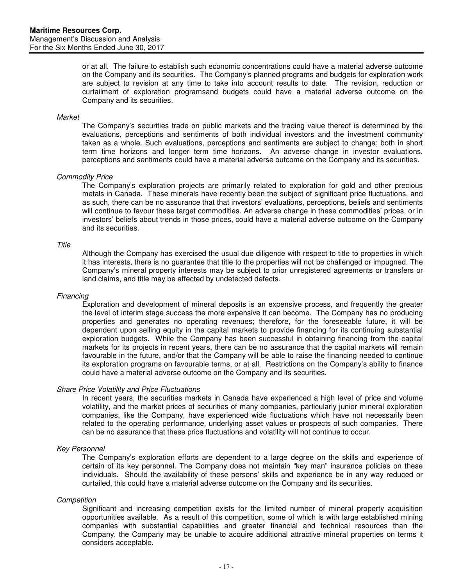or at all. The failure to establish such economic concentrations could have a material adverse outcome on the Company and its securities. The Company's planned programs and budgets for exploration work are subject to revision at any time to take into account results to date. The revision, reduction or curtailment of exploration programsand budgets could have a material adverse outcome on the Company and its securities.

#### **Market**

The Company's securities trade on public markets and the trading value thereof is determined by the evaluations, perceptions and sentiments of both individual investors and the investment community taken as a whole. Such evaluations, perceptions and sentiments are subject to change; both in short term time horizons and longer term time horizons. An adverse change in investor evaluations, perceptions and sentiments could have a material adverse outcome on the Company and its securities.

## Commodity Price

The Company's exploration projects are primarily related to exploration for gold and other precious metals in Canada. These minerals have recently been the subject of significant price fluctuations, and as such, there can be no assurance that that investors' evaluations, perceptions, beliefs and sentiments will continue to favour these target commodities. An adverse change in these commodities' prices, or in investors' beliefs about trends in those prices, could have a material adverse outcome on the Company and its securities.

#### **Title**

Although the Company has exercised the usual due diligence with respect to title to properties in which it has interests, there is no guarantee that title to the properties will not be challenged or impugned. The Company's mineral property interests may be subject to prior unregistered agreements or transfers or land claims, and title may be affected by undetected defects.

#### Financing

Exploration and development of mineral deposits is an expensive process, and frequently the greater the level of interim stage success the more expensive it can become. The Company has no producing properties and generates no operating revenues; therefore, for the foreseeable future, it will be dependent upon selling equity in the capital markets to provide financing for its continuing substantial exploration budgets. While the Company has been successful in obtaining financing from the capital markets for its projects in recent years, there can be no assurance that the capital markets will remain favourable in the future, and/or that the Company will be able to raise the financing needed to continue its exploration programs on favourable terms, or at all. Restrictions on the Company's ability to finance could have a material adverse outcome on the Company and its securities.

## Share Price Volatility and Price Fluctuations

In recent years, the securities markets in Canada have experienced a high level of price and volume volatility, and the market prices of securities of many companies, particularly junior mineral exploration companies, like the Company, have experienced wide fluctuations which have not necessarily been related to the operating performance, underlying asset values or prospects of such companies. There can be no assurance that these price fluctuations and volatility will not continue to occur.

## Key Personnel

The Company's exploration efforts are dependent to a large degree on the skills and experience of certain of its key personnel. The Company does not maintain "key man" insurance policies on these individuals. Should the availability of these persons' skills and experience be in any way reduced or curtailed, this could have a material adverse outcome on the Company and its securities.

## **Competition**

Significant and increasing competition exists for the limited number of mineral property acquisition opportunities available. As a result of this competition, some of which is with large established mining companies with substantial capabilities and greater financial and technical resources than the Company, the Company may be unable to acquire additional attractive mineral properties on terms it considers acceptable.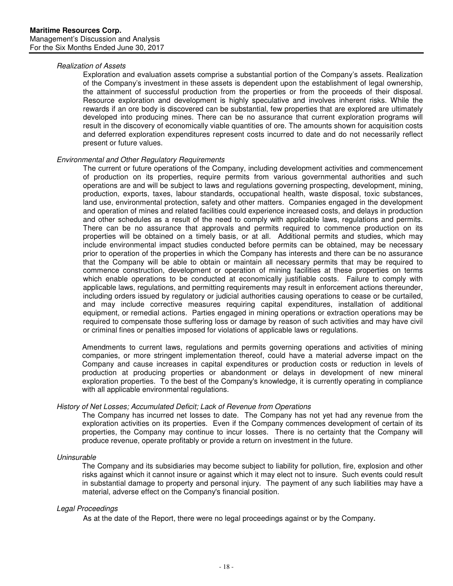### Realization of Assets

Exploration and evaluation assets comprise a substantial portion of the Company's assets. Realization of the Company's investment in these assets is dependent upon the establishment of legal ownership, the attainment of successful production from the properties or from the proceeds of their disposal. Resource exploration and development is highly speculative and involves inherent risks. While the rewards if an ore body is discovered can be substantial, few properties that are explored are ultimately developed into producing mines. There can be no assurance that current exploration programs will result in the discovery of economically viable quantities of ore. The amounts shown for acquisition costs and deferred exploration expenditures represent costs incurred to date and do not necessarily reflect present or future values.

## Environmental and Other Regulatory Requirements

The current or future operations of the Company, including development activities and commencement of production on its properties, require permits from various governmental authorities and such operations are and will be subject to laws and regulations governing prospecting, development, mining, production, exports, taxes, labour standards, occupational health, waste disposal, toxic substances, land use, environmental protection, safety and other matters. Companies engaged in the development and operation of mines and related facilities could experience increased costs, and delays in production and other schedules as a result of the need to comply with applicable laws, regulations and permits. There can be no assurance that approvals and permits required to commence production on its properties will be obtained on a timely basis, or at all. Additional permits and studies, which may include environmental impact studies conducted before permits can be obtained, may be necessary prior to operation of the properties in which the Company has interests and there can be no assurance that the Company will be able to obtain or maintain all necessary permits that may be required to commence construction, development or operation of mining facilities at these properties on terms which enable operations to be conducted at economically justifiable costs. Failure to comply with applicable laws, regulations, and permitting requirements may result in enforcement actions thereunder, including orders issued by regulatory or judicial authorities causing operations to cease or be curtailed, and may include corrective measures requiring capital expenditures, installation of additional equipment, or remedial actions. Parties engaged in mining operations or extraction operations may be required to compensate those suffering loss or damage by reason of such activities and may have civil or criminal fines or penalties imposed for violations of applicable laws or regulations.

Amendments to current laws, regulations and permits governing operations and activities of mining companies, or more stringent implementation thereof, could have a material adverse impact on the Company and cause increases in capital expenditures or production costs or reduction in levels of production at producing properties or abandonment or delays in development of new mineral exploration properties. To the best of the Company's knowledge, it is currently operating in compliance with all applicable environmental regulations.

## History of Net Losses; Accumulated Deficit; Lack of Revenue from Operations

The Company has incurred net losses to date. The Company has not yet had any revenue from the exploration activities on its properties. Even if the Company commences development of certain of its properties, the Company may continue to incur losses. There is no certainty that the Company will produce revenue, operate profitably or provide a return on investment in the future.

## Uninsurable

The Company and its subsidiaries may become subject to liability for pollution, fire, explosion and other risks against which it cannot insure or against which it may elect not to insure. Such events could result in substantial damage to property and personal injury. The payment of any such liabilities may have a material, adverse effect on the Company's financial position.

## Legal Proceedings

As at the date of the Report, there were no legal proceedings against or by the Company.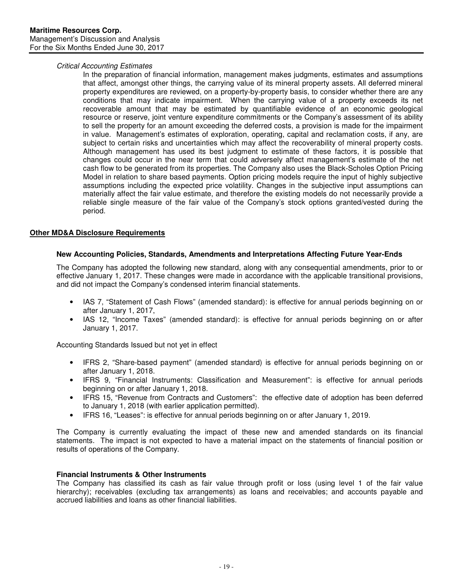## Critical Accounting Estimates

In the preparation of financial information, management makes judgments, estimates and assumptions that affect, amongst other things, the carrying value of its mineral property assets. All deferred mineral property expenditures are reviewed, on a property-by-property basis, to consider whether there are any conditions that may indicate impairment. When the carrying value of a property exceeds its net recoverable amount that may be estimated by quantifiable evidence of an economic geological resource or reserve, joint venture expenditure commitments or the Company's assessment of its ability to sell the property for an amount exceeding the deferred costs, a provision is made for the impairment in value. Management's estimates of exploration, operating, capital and reclamation costs, if any, are subject to certain risks and uncertainties which may affect the recoverability of mineral property costs. Although management has used its best judgment to estimate of these factors, it is possible that changes could occur in the near term that could adversely affect management's estimate of the net cash flow to be generated from its properties. The Company also uses the Black-Scholes Option Pricing Model in relation to share based payments. Option pricing models require the input of highly subjective assumptions including the expected price volatility. Changes in the subjective input assumptions can materially affect the fair value estimate, and therefore the existing models do not necessarily provide a reliable single measure of the fair value of the Company's stock options granted/vested during the period.

## **Other MD&A Disclosure Requirements**

## **New Accounting Policies, Standards, Amendments and Interpretations Affecting Future Year-Ends**

The Company has adopted the following new standard, along with any consequential amendments, prior to or effective January 1, 2017. These changes were made in accordance with the applicable transitional provisions, and did not impact the Company's condensed interim financial statements.

- IAS 7, "Statement of Cash Flows" (amended standard): is effective for annual periods beginning on or after January 1, 2017,
- IAS 12, "Income Taxes" (amended standard): is effective for annual periods beginning on or after January 1, 2017.

Accounting Standards Issued but not yet in effect

- IFRS 2, "Share-based payment" (amended standard) is effective for annual periods beginning on or after January 1, 2018.
- IFRS 9, "Financial Instruments: Classification and Measurement": is effective for annual periods beginning on or after January 1, 2018.
- IFRS 15, "Revenue from Contracts and Customers": the effective date of adoption has been deferred to January 1, 2018 (with earlier application permitted).
- IFRS 16, "Leases": is effective for annual periods beginning on or after January 1, 2019.

The Company is currently evaluating the impact of these new and amended standards on its financial statements. The impact is not expected to have a material impact on the statements of financial position or results of operations of the Company.

## **Financial Instruments & Other Instruments**

The Company has classified its cash as fair value through profit or loss (using level 1 of the fair value hierarchy); receivables (excluding tax arrangements) as loans and receivables; and accounts payable and accrued liabilities and loans as other financial liabilities.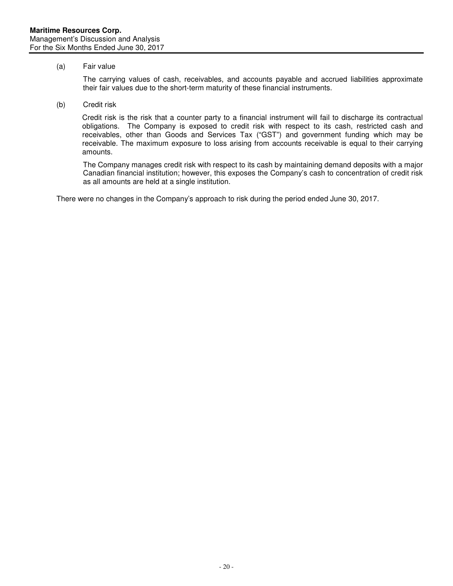## (a) Fair value

The carrying values of cash, receivables, and accounts payable and accrued liabilities approximate their fair values due to the short-term maturity of these financial instruments.

(b) Credit risk

Credit risk is the risk that a counter party to a financial instrument will fail to discharge its contractual obligations. The Company is exposed to credit risk with respect to its cash, restricted cash and receivables, other than Goods and Services Tax ("GST") and government funding which may be receivable. The maximum exposure to loss arising from accounts receivable is equal to their carrying amounts.

The Company manages credit risk with respect to its cash by maintaining demand deposits with a major Canadian financial institution; however, this exposes the Company's cash to concentration of credit risk as all amounts are held at a single institution.

There were no changes in the Company's approach to risk during the period ended June 30, 2017.